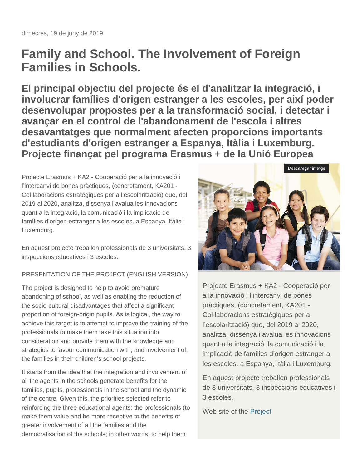## **Family and School. The Involvement of Foreign Families in Schools.**

**El principal objectiu del projecte és el d'analitzar la integració, i involucrar famílies d'origen estranger a les escoles, per així poder desenvolupar propostes per a la transformació social, i detectar i avançar en el control de l'abandonament de l'escola i altres desavantatges que normalment afecten proporcions importants d'estudiants d'origen estranger a Espanya, Itàlia i Luxemburg. Projecte finançat pel programa Erasmus + de la Unió Europea**

Projecte Erasmus + KA2 - Cooperació per a la innovació i l'intercanvi de bones pràctiques, (concretament, KA201 - Col·laboracions estratègiques per a l'escolarització) que, del 2019 al 2020, analitza, dissenya i avalua les innovacions quant a la integració, la comunicació i la implicació de famílies d'origen estranger a les escoles. a Espanya, Itàlia i Luxemburg.

En aquest projecte treballen professionals de 3 universitats, 3 inspeccions educatives i 3 escoles.

## PRESENTATION OF THE PROJECT (ENGLISH VERSION)

The project is designed to help to avoid premature abandoning of school, as well as enabling the reduction of the socio-cultural disadvantages that affect a significant proportion of foreign-origin pupils. As is logical, the way to achieve this target is to attempt to improve the training of the professionals to make them take this situation into consideration and provide them with the knowledge and strategies to favour communication with, and involvement of, the families in their children's school projects.

It starts from the idea that the integration and involvement of all the agents in the schools generate benefits for the families, pupils, professionals in the school and the dynamic of the centre. Given this, the priorities selected refer to reinforcing the three educational agents: the professionals (to make them value and be more receptive to the benefits of greater involvement of all the families and the democratisation of the schools; in other words, to help them



Projecte Erasmus + KA2 - Cooperació per a la innovació i l'intercanvi de bones pràctiques, (concretament, KA201 - Col·laboracions estratègiques per a l'escolarització) que, del 2019 al 2020, analitza, dissenya i avalua les innovacions quant a la integració, la comunicació i la implicació de famílies d'origen estranger a les escoles. a Espanya, Itàlia i Luxemburg.

En aquest projecte treballen professionals de 3 universitats, 3 inspeccions educatives i 3 escoles.

Web site of the [Project](http://familyandschool.eu/project/)